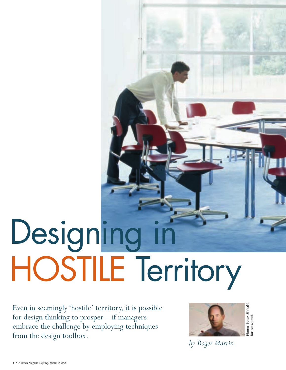# Designing HOSTILE Territory

Even in seemingly 'hostile' territory, it is possible for design thinking to prosper – if managers embrace the challenge by employing techniques from the design toolbox.



*by Roger Martin*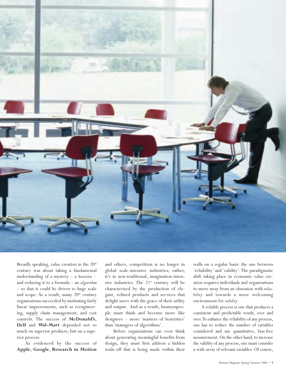

Broadly speaking, value creation in the 20<sup>th</sup> century was about taking a fundamental understanding of a mystery – a *heuristic* – and reducing it to a formula – an *algorithm* – so that it could be driven to huge scale and scope. As a result, many  $20<sup>th</sup>$  century organizations succeeded by instituting fairly linear improvements, such as reengineering, supply chain management, and cost controls. The success of **McDonald's**, **Dell** and **Wal-Mart** depended not so much on superior products, but on a superior process.

As evidenced by the success of **Apple**, **Google**, **Research in Motion**

and others, competition is no longer in global scale-intensive industries; rather, it's in non-traditional, imagination-intensive industries. The  $21^{st}$  century will be characterized by the production of elegant, refined products and services that delight users with the grace of their utility and output. And as a result, businesspeople must think and become more like designers – more 'masters of heuristics' than 'managers of algorithms'.

Before organizations can even think about generating meaningful benefits from design, they must first address a hidden trade-off that is being made within their

walls on a regular basis: the one between 'reliability' and 'validity'.The paradigmatic shift taking place in economic value creation requires individuals and organizations to move away from an obsession with *reliability* and towards a more welcoming environment for *validity*.

A reliable process is one that produces a consistent and predictable result, over and over.To enhance the reliability of any process, one has to reduce the number of variables considered and use quantitative, bias-free measurement. On the other hand, to increase the validity of any process, one must consider a wide array of relevant variables. Of course,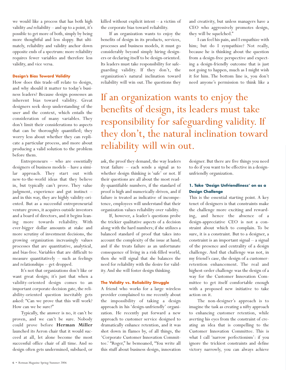we would like a process that has both high validity *and* reliability – and up to a point, it's possible to get more of both, simply by being more thoughtful and less sloppy. But ultimately, reliability and validity anchor down opposite ends of a spectrum: more reliability requires fewer variables and therefore less validity, and vice versa.

#### **Design's Bias Toward Validity**

How does this trade-off relate to design, and why should it matter to today's business leaders? Because design possesses an inherent bias toward validity. Great designers seek deep understanding of the user and the context, which entails the consideration of many variables. They don't limit their considerations to aspects that can be thoroughly quantified; they worry less about whether they can replicate a particular process, and more about producing a valid solution to the problem before them.

Entrepreneurs – who are essentially designers of business models – have a similar approach. They start out with new-to-the-world ideas that they believe in, but typically can't prove. They value judgment, experience and gut instinct – and in this way, they are highly validity-oriented. But as a successful entrepreneurial venture grows, it acquires outside investors and a board of directors, and it begins leaning more towards reliability. With ever-bigger dollar amounts at stake and more scrutiny of investment decisions, the growing organization increasingly values processes that are quantitative, analytical, and bias-free. Variables that are difficult to measure quantitatively – such as feelings and relationships – get dropped.

It's not that organizations don't like or want great design; it's just that when a validity-oriented design comes to an important corporate decision gate, the reliability-oriented question inevitably gets asked: "Can we prove that this will work? How can we be sure?"

Typically, the answer is no, it can't be proven, and we can't be sure. Nobody could prove before **Herman Miller** launched its Aeron chair that it would succeed at all, let alone become the most successful office chair of all time. And so design often gets undermined, subdued, or

killed without explicit intent – a victim of the corporate bias toward reliability.

If an organization wants to enjoy the benefits of design in its products, services, processes and business models, it must go considerably beyond simply hiring designers or declaring itself to be design-oriented. Its leaders must take responsibility for safeguarding validity. If they don't, the organization's natural inclination toward reliability will win out. The questions they

and creativity, but unless managers have a CEO who aggressively promotes design, they will be squelched."

I can feel his pain, and I empathize with him; but do I sympathize? Not really, because he is thinking about the question from a design-free perspective and expecting a design-friendly outcome that is just not going to happen, much as I might wish it for him. The bottom line is, you don't need anyone's permission to think like a

If an organization wants to enjoy the benefits of design, its leaders must take responsibility for safeguarding validity. If they don't, the natural inclination toward reliability will win out.

ask, the proof they demand, the way leaders treat failure – each sends a signal as to whether design thinking is 'safe' or not. If their questions are all about the most readily-quantifiable numbers, if the standard of proof is high and numerically-driven, and if failure is treated as indicative of incompetence, employees will understand that their organization values reliability over validity.

If, however, a leader's questions probe the trickier qualitative aspects of a decision along with the hard numbers; if she utilizes a balanced standard of proof that takes into account the complexity of the issue at hand; and if she treats failure as an unfortunate consequence of living in a risk-filled world, then she will signal that she balances the need for reliability with the desire for validity. And she will foster design thinking.

#### **The Validity vs. Reliability Struggle**

A friend who works for a large wireless provider complained to me recently about the impossibility of taking a design approach in his 'design-unfriendly' organization. He recently put forward a new approach to customer service designed to dramatically enhance retention, and it was shot down in flames by, of all things, the 'Corporate Customer Innovation Committee.' "Roger," he bemoaned, "You write all this stuff about business design, innovation

designer. But there are five things you need to do if you want to be effective in a designunfriendly organization.

#### **1. Take 'Design Unfriendliness' on as a Design Challenge**

This is the essential starting point. A key tenet of designers is that constraints make the challenge more exciting and rewarding, and hence the absence of a design-appreciative CEO is not a constraint about which to complain. To be sure, it is a constraint. But to a designer, a constraint is an important signal – a signal of the presence and centrality of a design challenge. And that challenge was not, in my friend's case, the design of a customerretention enhancement. The real and highest-order challenge was the design of a way for the Customer Innovation Committee to get itself comfortable enough with a proposed new initiative to take action on it.

The non-designer's approach is to imagine the task as creating a nifty approach to enhancing customer retention, while averting his eyes from the constraint of creating an idea that is compelling to the Customer Innovation Committee. This is what I call 'narrow perfectionism': if you ignore the trickiest constraints and define victory narrowly, you can always achieve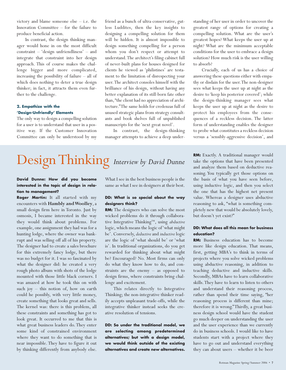victory and blame someone else – i.e. the Innovation Committee – for the failure to produce beneficial action.

In contrast, the design thinking manager would hone in on the most difficult constraint – 'design unfriendliness' – and integrate that constraint into her design approach. This of course makes the challenge bigger and more complicated, increasing the possibility of failure – all of which does nothing to deter a true design thinker; in fact, it attracts them even further to the challenge.

#### **2. Empathize with the 'Design-Unfriendly' Elements**

The only way to design a compelling solution for a user is to understand that user in a positive way. If the Customer Innovation Committee can only be understood by my

friend as a bunch of ultra-conservative, gutless Luddites, then the key insights to designing a compelling solution for them will be hidden. It is almost impossible to design something compelling for a person whom you don't respect or attempt to understand.The architect's filing cabinet full of never-built plans for houses designed for clients he viewed as 'philistines' are testament to the limitation of disrespecting your user.The architect consoles himself with the brilliance of his design, without having any better explanation of its still-born fate other than, "the client had no appreciation of architecture."The same holds for credenzas full of unused strategic plans from strategy consultants and book shelves full of unpublished manuscripts for the 'next great novel'.

In contrast, the design-thinking manager attempts to achieve a deep under-

## Design Thinking *Interview by David Dunne*

#### **David Dunne: How did you become interested in the topic of design in relation to management?**

**Roger Martin:** It all started with my encounters with **Hambly and Woolley**, a small design firm here in Toronto. Just by osmosis, I became interested in the way they would think about problems. For example, one assignment they had was for a hunting lodge, where the owner was bankrupt and was selling off all of his property. The designer had to create a sales brochure for this extremely fancy lodge, but there was no budget for it. I was so fascinated by what the designer did: he created a very rough photo album with shots of the lodge mounted with those little black corners. I was amazed at how he took this on with such joy – this notion of, how on earth could he possibly, with very little money, create something that looks great and sells. The kernel was: there is this problem, all these constraints and something has got to look great. It occurred to me that this is what great business leaders do. They enter some kind of constrained environment where they want to do something that is near impossible. They have to figure it out by thinking differently from anybody else.

What I see in the best business people is the same as what I see in designers at their best.

#### **DD: What is so special about the way designers think?**

**RM:** The designers who can solve the most wicked problems do it through collaborative Integrative Thinking™, using *abductive* logic, which means the logic of 'what might be'. Conversely,*deductive* and *inductive* logic are the logic of 'what should be' or 'what is'. In traditional organizations, do you get rewarded for thinking about what might be? Encouraged? No. Most firms can only do what they know how to do, and constraints are the enemy – as opposed to design firms, where constraints bring challenge and excitement.

This relates directly to Integrative Thinking; the non-integrative thinker readily accepts unpleasant trade-offs, while the integrative thinker instead seeks the creative resolution of tensions.

**DD: So under the traditional model, we are selecting among predetermined alternatives; but with a design model, we would think outside of the existing alternatives and create new alternatives.**

standing of her user in order to uncover the greatest range of options for creating a compelling solution. What are the user's greatest hopes? What keeps the user up at night? What are the minimum acceptable conditions for the user to embrace a design solution? How much risk is the user willing to absorb?

Crucially, each of us has a choice of answering these questions either with empathy or disdain for the user.The non-designer sees what keeps the user up at night as the desire to 'keep his posterior covered'; while the design-thinking manager sees what keeps the user up at night as the desire to protect his employees from the consequences of a reckless decision. The latter form of understanding enables the designer to probe what constitutes a reckless decision versus a 'sensibly-aggressive decision', and

**RM:** Exactly. A traditional manager would take the options that have been presented and analyze them based on deductive reasoning. You typically get those options on the basis of what you have seen before, using inductive logic, and then you select the one that has the highest net present value. Whereas a designer uses abductive reasoning to ask, "what is something completely new that would be absolutely lovely, but doesn't yet exist?"

#### **DD: What does all this mean for business education?**

**RM:** Business education has to become more like design education. That means, first, getting MBA's to think in terms of projects where you solve wicked problems using abductive reasoning, in addition to teaching deductive and inductive skills. Secondly, MBAs have to learn collaborative skills.They have to learn to listen to others and understand their reasoning process, rather than spend their time saying, "her reasoning process is different than mine; therefore it is wrong."Thirdly, a great business design school would have the student go much deeper on understanding the user and the user experience than we currently do in business schools. I would like to have students start with a project where they have to go out and understand everything they can about users – whether it be beer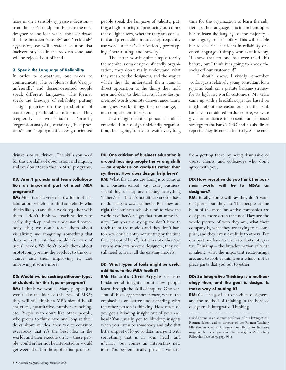hone in on a sensibly-aggressive decision – from the user's standpoint. Because the nondesigner has no idea where the user draws the line between 'sensibly' and 'recklessly' aggressive, she will create a solution that inadvertently lies in the reckless zone, and will be rejected out of hand.

#### **3. Speak the Language of Reliability**

In order to empathize, one needs to communicate. The problem is that 'designunfriendly' and design-oriented people speak different languages. The former speak the language of reliability, putting a high priority on the production of consistent, predictable outcomes. They frequently use words such as 'proof', 'regression analysis', 'certainty', 'best practices', and 'deployment'. Design-oriented

people speak the language of validity, putting a high priority on producing outcomes that delight users, whether they are consistent and predictable or not.They frequently use words such as 'visualization','prototyping', 'beta-testing' and 'novelty'.

The latter words quite simply terrify the members of a design-unfriendly organization; they don't really understand what they mean to the designers, and the way in which they do understand them runs in direct opposition to the things they hold near and dear to their hearts.These designoriented words connote danger, uncertainty and guess-work; things that encourage, if not compel them to say no.

If a design-oriented person is indeed embedded in a design-unfriendly organization, she is going to have to wait a very long

drinkers or car drivers.The skills you need **DD: One criticism of business education is around teaching people the wrong skills — an emphasis on analysis rather than synthesis. How does design help here?**

> **RM:** What the critics are doing is to critique in a business-school way, using businessschool logic. They are making everything 'either/or' – but it's not either/or: you have to do analysis *and* synthesis. But they are right that business schools tend to view the world as either/or. I get that from some faculty: "But you are saying we don't have to teach them the models and they don't have to know double entry accounting by the time they get out of here". But it is not either/or: even as students become designers, they will still need to learn all the existing models.

#### **DD: What types of tools might be useful additions to the MBA toolkit?**

**RM:** Harvard's **Chris Argyris** discusses fundamental insights about how people learn through the skill of inquiry. One version of this is *appreciative inquiry*, where the emphasis is on better understanding what the other person is thinking. How often do you get a blinding insight out of your *own* head? You usually get to blinding insights when you listen to somebody and take that little snippet of logic or data, merge it with something that is in your head, and *whammo*, out comes an interesting new idea. You systematically prevent yourself

time for the organization to learn the subtleties of her language. It is incumbent upon her to learn the language of the majority – the language of reliability. This will enable her to describe her ideas in reliability-oriented language. It simply won't cut it to say, "I know that no one has ever tried this before, but I think it is going to knock the socks off our customers!"

I should know: I vividly remember working as a relatively young consultant for a gigantic bank on a private banking strategy for its high net-worth customers. My team came up with a breakthrough idea based on insights about the customers that the bank had never considered. In due course, we were given an audience to present our proposed strategy to the bank's CEO and his six direct reports.They listened attentively.At the end,

from getting there by being dismissive of users, clients, and colleagues who don't agree with you.

#### **DD: How receptive do you think the business world will be to MBAs as designers?**

**RM:** Totally. Some will say they don't want designers, but they do. The people at the helm of the most innovative companies are designers more often than not.They see the whole picture of who they are, what their company is, what they are trying to accomplish, and they listen carefully to others. For our part, we have to teach students Integrative Thinking – the broader notion of what is salient, what the important relationships are, and to look at things as a whole, not as piece parts that you put together.

#### **DD: So Integrative Thinking is a methodology then, and the goal is design. Is that a way of putting it?**

**RM:** Yes. The goal is to produce designers, and the method of thinking in the head of designers is Integrative Thinking.

David Dunne is an adjunct professor of Marketing at the Rotman School and co-director of the Rotman Teaching Effectiveness Centre. A regular contributor to *Marketing* magazine, he recently received the prestigious 3M Teaching Fellowship (see story, page 93.)

for this are skills of observation and inquiry, and we don't teach that in MBA programs.

#### **DD: Aren't projects and team collaboration an important part of most MBA programs?**

**RM:** Most teach a very narrow form of collaboration, which is to find somebody who thinks like you and then work together with them. I don't think we teach students to really dig deep and to understand somebody else; we don't teach them about visualizing and imagining something that does not yet exist that would take care of users' needs. We don't teach them about prototyping, giving the product to the consumer and then improving it, and improving it some more.

#### **DD: Would we be seeking different types of students for this type of program?**

**RM:** I think we would. Many people just won't like the idea of this type of MBA; they will still think an MBA should be all analytical, quantitative, number crunching, etc. People who don't like other people, who prefer to think hard and long at their desks about an idea, then try to convince everybody that it's the best idea in the world, and then execute on it – these people would either not be interested or would get weeded out in the application process.